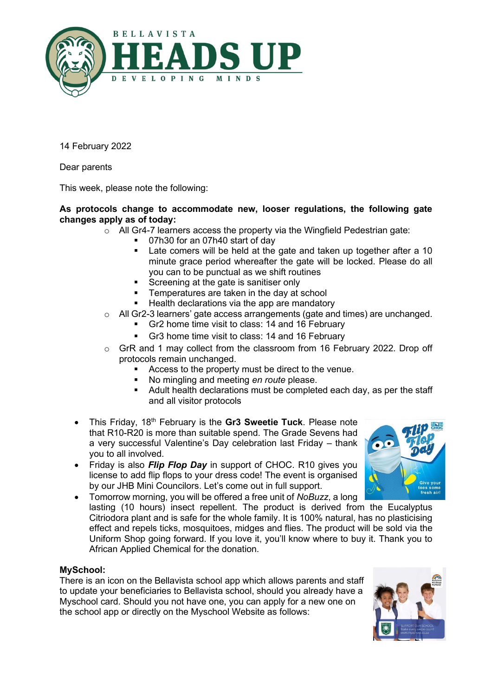

14 February 2022

Dear parents

This week, please note the following:

## **As protocols change to accommodate new, looser regulations, the following gate changes apply as of today:**

- o All Gr4-7 learners access the property via the Wingfield Pedestrian gate:
	- 07h30 for an 07h40 start of day<br>■ Late comers will be held at the
		- Late comers will be held at the gate and taken up together after a 10 minute grace period whereafter the gate will be locked. Please do all you can to be punctual as we shift routines
		- Screening at the gate is sanitiser only
		- Temperatures are taken in the day at school
		- Health declarations via the app are mandatory
- o All Gr2-3 learners' gate access arrangements (gate and times) are unchanged.
	- Gr2 home time visit to class: 14 and 16 February
	- Gr3 home time visit to class: 14 and 16 February
- o GrR and 1 may collect from the classroom from 16 February 2022. Drop off protocols remain unchanged.
	- Access to the property must be direct to the venue.
	- No mingling and meeting *en route* please.
	- Adult health declarations must be completed each day, as per the staff and all visitor protocols
- This Friday, 18<sup>th</sup> February is the Gr3 Sweetie Tuck. Please note that R10-R20 is more than suitable spend. The Grade Sevens had a very successful Valentine's Day celebration last Friday – thank you to all involved.
- Friday is also *Flip Flop Day* in support of CHOC. R10 gives you license to add flip flops to your dress code! The event is organised by our JHB Mini Councilors. Let's come out in full support.
- Tomorrow morning, you will be offered a free unit of *NoBuzz*, a long lasting (10 hours) insect repellent. The product is derived from the Eucalyptus Citriodora plant and is safe for the whole family. It is 100% natural, has no plasticising effect and repels ticks, mosquitoes, midges and flies. The product will be sold via the Uniform Shop going forward. If you love it, you'll know where to buy it. Thank you to African Applied Chemical for the donation.

## **MySchool:**

There is an icon on the Bellavista school app which allows parents and staff to update your beneficiaries to Bellavista school, should you already have a Myschool card. Should you not have one, you can apply for a new one on the school app or directly on the Myschool Website as follows:



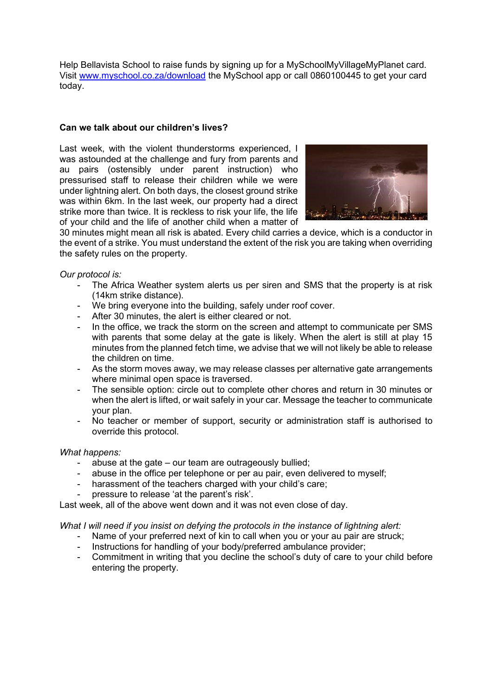Help Bellavista School to raise funds by signing up for a MySchoolMyVillageMyPlanet card. Visit [www.myschool.co.za/download](http://www.myschool.co.za/download) the MySchool app or call 0860100445 to get your card today.

## **Can we talk about our children's lives?**

Last week, with the violent thunderstorms experienced, I was astounded at the challenge and fury from parents and au pairs (ostensibly under parent instruction) who pressurised staff to release their children while we were under lightning alert. On both days, the closest ground strike was within 6km. In the last week, our property had a direct strike more than twice. It is reckless to risk your life, the life of your child and the life of another child when a matter of



30 minutes might mean all risk is abated. Every child carries a device, which is a conductor in the event of a strike. You must understand the extent of the risk you are taking when overriding the safety rules on the property.

*Our protocol is:*

- The Africa Weather system alerts us per siren and SMS that the property is at risk (14km strike distance).
- We bring everyone into the building, safely under roof cover.
- After 30 minutes, the alert is either cleared or not.
- In the office, we track the storm on the screen and attempt to communicate per SMS with parents that some delay at the gate is likely. When the alert is still at play 15 minutes from the planned fetch time, we advise that we will not likely be able to release the children on time.
- As the storm moves away, we may release classes per alternative gate arrangements where minimal open space is traversed.
- The sensible option: circle out to complete other chores and return in 30 minutes or when the alert is lifted, or wait safely in your car. Message the teacher to communicate your plan.
- No teacher or member of support, security or administration staff is authorised to override this protocol.

## *What happens:*

- abuse at the gate  $-$  our team are outrageously bullied;
- abuse in the office per telephone or per au pair, even delivered to myself;
- harassment of the teachers charged with your child's care;
- pressure to release 'at the parent's risk'.

Last week, all of the above went down and it was not even close of day.

*What I will need if you insist on defying the protocols in the instance of lightning alert:*

- Name of your preferred next of kin to call when you or your au pair are struck;
- Instructions for handling of your body/preferred ambulance provider;
- Commitment in writing that you decline the school's duty of care to your child before entering the property.